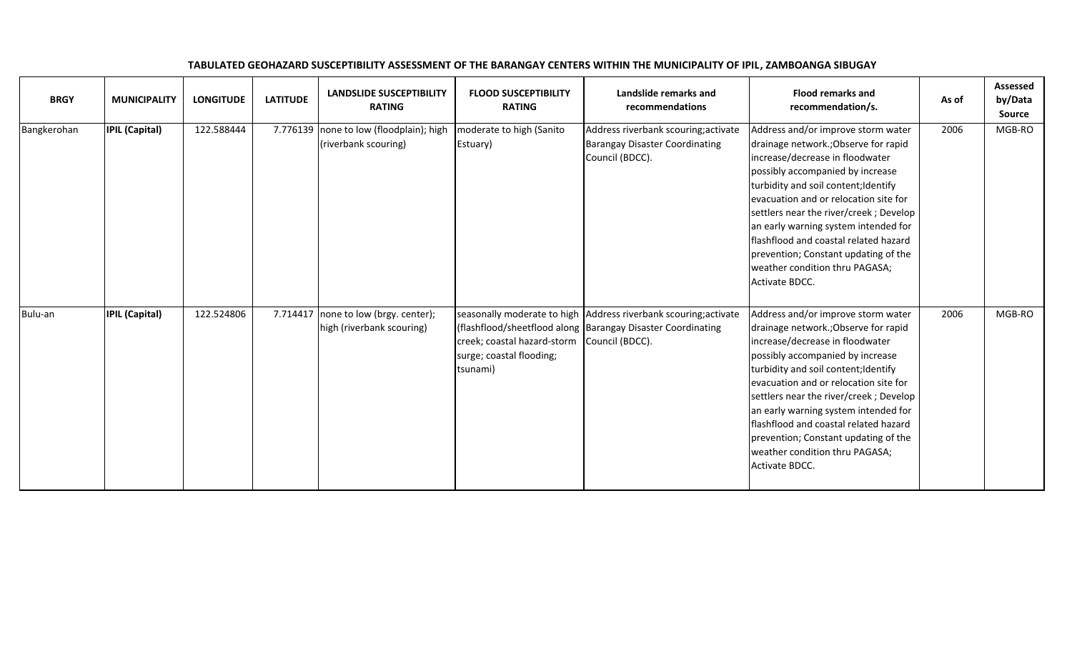| <b>BRGY</b> | <b>MUNICIPALITY</b>   | <b>LONGITUDE</b> | <b>LATITUDE</b> | <b>LANDSLIDE SUSCEPTIBILITY</b><br><b>RATING</b>                  | <b>FLOOD SUSCEPTIBILITY</b><br><b>RATING</b>                                        | Landslide remarks and<br>recommendations                                                                                        | <b>Flood remarks and</b><br>recommendation/s.                                                                                                                                                                                                                                                                                                                                                                                                             | As of | <b>Assessed</b><br>by/Data<br><b>Source</b> |
|-------------|-----------------------|------------------|-----------------|-------------------------------------------------------------------|-------------------------------------------------------------------------------------|---------------------------------------------------------------------------------------------------------------------------------|-----------------------------------------------------------------------------------------------------------------------------------------------------------------------------------------------------------------------------------------------------------------------------------------------------------------------------------------------------------------------------------------------------------------------------------------------------------|-------|---------------------------------------------|
| Bangkerohan | <b>IPIL (Capital)</b> | 122.588444       |                 | 7.776139 none to low (floodplain); high<br>(riverbank scouring)   | moderate to high (Sanito<br>Estuary)                                                | Address riverbank scouring; activate<br><b>Barangay Disaster Coordinating</b><br>Council (BDCC).                                | Address and/or improve storm water<br>drainage network.; Observe for rapid<br>increase/decrease in floodwater<br>possibly accompanied by increase<br>turbidity and soil content; Identify<br>evacuation and or relocation site for<br>settlers near the river/creek; Develop<br>an early warning system intended for<br>flashflood and coastal related hazard<br>prevention; Constant updating of the<br>weather condition thru PAGASA;<br>Activate BDCC. | 2006  | MGB-RO                                      |
| Bulu-an     | <b>IPIL (Capital)</b> | 122.524806       |                 | 7.714417 none to low (brgy. center);<br>high (riverbank scouring) | creek; coastal hazard-storm Council (BDCC).<br>surge; coastal flooding;<br>tsunami) | seasonally moderate to high Address riverbank scouring; activate<br>(flashflood/sheetflood along Barangay Disaster Coordinating | Address and/or improve storm water<br>drainage network.; Observe for rapid<br>increase/decrease in floodwater<br>possibly accompanied by increase<br>turbidity and soil content; Identify<br>evacuation and or relocation site for<br>settlers near the river/creek; Develop<br>an early warning system intended for<br>flashflood and coastal related hazard<br>prevention; Constant updating of the<br>weather condition thru PAGASA;<br>Activate BDCC. | 2006  | MGB-RO                                      |

## TABULATED GEOHAZARD SUSCEPTIBILITY ASSESSMENT OF THE BARANGAY CENTERS WITHIN THE MUNICIPALITY OF IPIL, ZAMBOANGA SIBUGAY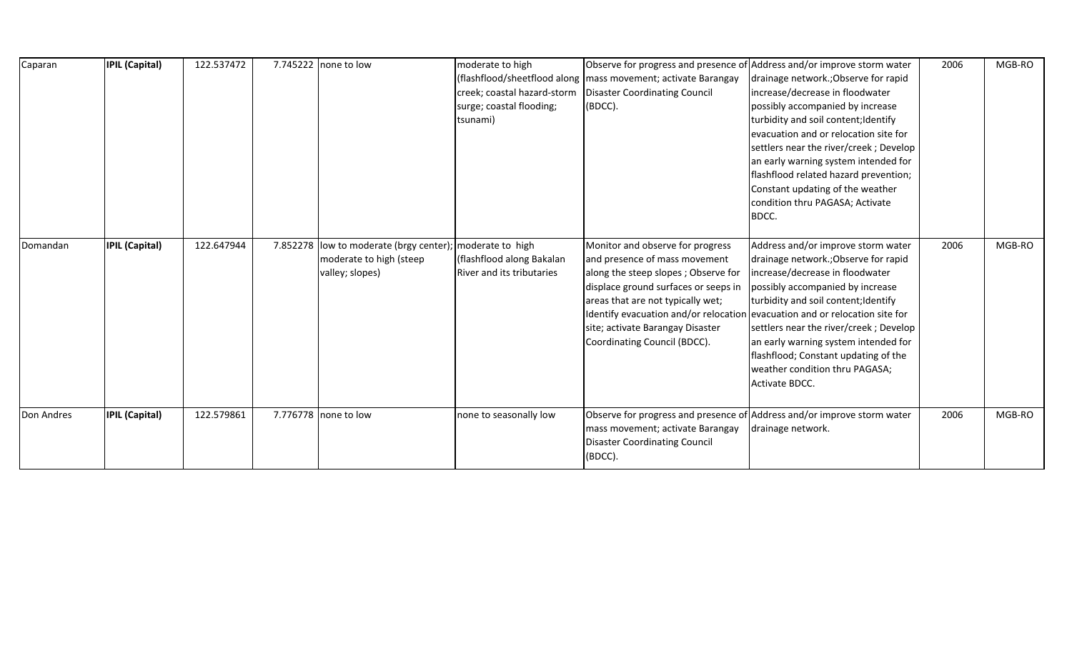| Caparan    | <b>IPIL (Capital)</b> | 122.537472 | 7.745222 none to low                                                                                   | moderate to high<br>creek; coastal hazard-storm<br>surge; coastal flooding;<br>tsunami) | (flashflood/sheetflood along   mass movement; activate Barangay<br><b>Disaster Coordinating Council</b><br>(BDCC).                                                                                                                                                                                                                       | Observe for progress and presence of Address and/or improve storm water<br>drainage network.; Observe for rapid<br>increase/decrease in floodwater<br>possibly accompanied by increase<br>turbidity and soil content; Identify<br>evacuation and or relocation site for<br>settlers near the river/creek; Develop<br>an early warning system intended for<br>flashflood related hazard prevention;<br>Constant updating of the weather<br>condition thru PAGASA; Activate<br>BDCC. | 2006 | MGB-RO |
|------------|-----------------------|------------|--------------------------------------------------------------------------------------------------------|-----------------------------------------------------------------------------------------|------------------------------------------------------------------------------------------------------------------------------------------------------------------------------------------------------------------------------------------------------------------------------------------------------------------------------------------|------------------------------------------------------------------------------------------------------------------------------------------------------------------------------------------------------------------------------------------------------------------------------------------------------------------------------------------------------------------------------------------------------------------------------------------------------------------------------------|------|--------|
| Domandan   | <b>IPIL (Capital)</b> | 122.647944 | 7.852278 low to moderate (brgy center); moderate to high<br>moderate to high (steep<br>valley; slopes) | (flashflood along Bakalan<br>River and its tributaries                                  | Monitor and observe for progress<br>and presence of mass movement<br>along the steep slopes; Observe for<br>displace ground surfaces or seeps in<br>areas that are not typically wet;<br>Identify evacuation and/or relocation evacuation and or relocation site for<br>site; activate Barangay Disaster<br>Coordinating Council (BDCC). | Address and/or improve storm water<br>drainage network.; Observe for rapid<br>increase/decrease in floodwater<br>possibly accompanied by increase<br>turbidity and soil content; Identify<br>settlers near the river/creek; Develop<br>an early warning system intended for<br>flashflood; Constant updating of the<br>weather condition thru PAGASA;<br>Activate BDCC.                                                                                                            | 2006 | MGB-RO |
| Don Andres | <b>IPIL (Capital)</b> | 122.579861 | 7.776778 none to low                                                                                   | none to seasonally low                                                                  | mass movement; activate Barangay<br><b>Disaster Coordinating Council</b><br>(BDCC).                                                                                                                                                                                                                                                      | Observe for progress and presence of Address and/or improve storm water<br>drainage network.                                                                                                                                                                                                                                                                                                                                                                                       | 2006 | MGB-RO |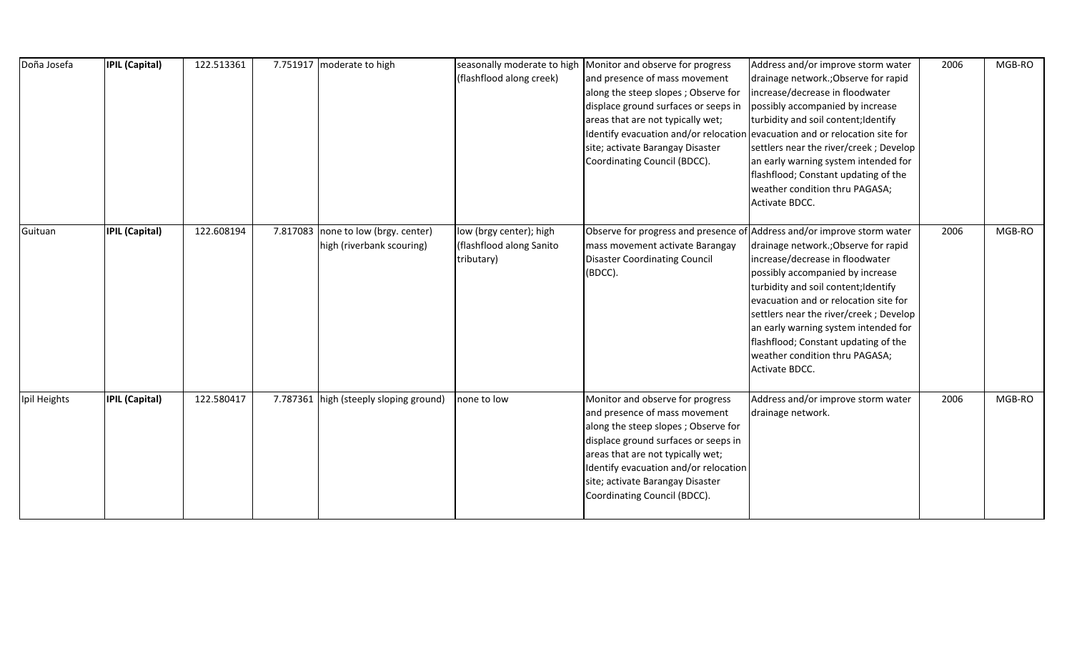| Doña Josefa  | <b>IPIL (Capital)</b> | 122.513361 | 7.751917 moderate to high                                        | seasonally moderate to high<br>(flashflood along creek)           | Monitor and observe for progress<br>and presence of mass movement<br>along the steep slopes; Observe for<br>displace ground surfaces or seeps in<br>areas that are not typically wet;<br>Identify evacuation and/or relocation evacuation and or relocation site for<br>site; activate Barangay Disaster<br>Coordinating Council (BDCC). | Address and/or improve storm water<br>drainage network.; Observe for rapid<br>increase/decrease in floodwater<br>possibly accompanied by increase<br>turbidity and soil content; Identify<br>settlers near the river/creek; Develop<br>an early warning system intended for<br>flashflood; Constant updating of the<br>weather condition thru PAGASA;<br>Activate BDCC.    | 2006 | MGB-RO |
|--------------|-----------------------|------------|------------------------------------------------------------------|-------------------------------------------------------------------|------------------------------------------------------------------------------------------------------------------------------------------------------------------------------------------------------------------------------------------------------------------------------------------------------------------------------------------|----------------------------------------------------------------------------------------------------------------------------------------------------------------------------------------------------------------------------------------------------------------------------------------------------------------------------------------------------------------------------|------|--------|
| Guituan      | <b>IPIL (Capital)</b> | 122.608194 | 7.817083 none to low (brgy. center)<br>high (riverbank scouring) | low (brgy center); high<br>(flashflood along Sanito<br>tributary) | Observe for progress and presence of Address and/or improve storm water<br>mass movement activate Barangay<br><b>Disaster Coordinating Council</b><br>(BDCC).                                                                                                                                                                            | drainage network.; Observe for rapid<br>increase/decrease in floodwater<br>possibly accompanied by increase<br>turbidity and soil content; Identify<br>evacuation and or relocation site for<br>settlers near the river/creek; Develop<br>an early warning system intended for<br>flashflood; Constant updating of the<br>weather condition thru PAGASA;<br>Activate BDCC. | 2006 | MGB-RO |
| Ipil Heights | <b>IPIL (Capital)</b> | 122.580417 | 7.787361 high (steeply sloping ground)                           | none to low                                                       | Monitor and observe for progress<br>and presence of mass movement<br>along the steep slopes; Observe for<br>displace ground surfaces or seeps in<br>areas that are not typically wet;<br>Identify evacuation and/or relocation<br>site; activate Barangay Disaster<br>Coordinating Council (BDCC).                                       | Address and/or improve storm water<br>drainage network.                                                                                                                                                                                                                                                                                                                    | 2006 | MGB-RO |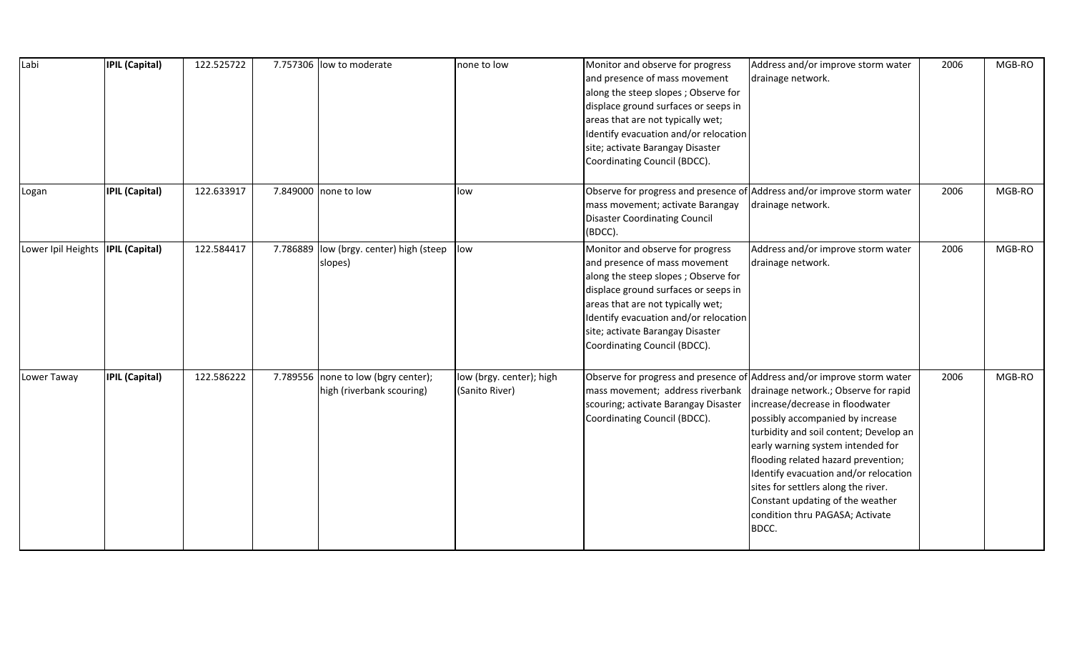| Labi                               | <b>IPIL (Capital)</b> | 122.525722 |          | 7.757306 low to moderate                                         | none to low                                | Monitor and observe for progress<br>and presence of mass movement<br>along the steep slopes; Observe for<br>displace ground surfaces or seeps in<br>areas that are not typically wet;<br>Identify evacuation and/or relocation<br>site; activate Barangay Disaster<br>Coordinating Council (BDCC). | Address and/or improve storm water<br>drainage network.                                                                                                                                                                                                                                                                                                                                                                                                                      | 2006 | MGB-RO |
|------------------------------------|-----------------------|------------|----------|------------------------------------------------------------------|--------------------------------------------|----------------------------------------------------------------------------------------------------------------------------------------------------------------------------------------------------------------------------------------------------------------------------------------------------|------------------------------------------------------------------------------------------------------------------------------------------------------------------------------------------------------------------------------------------------------------------------------------------------------------------------------------------------------------------------------------------------------------------------------------------------------------------------------|------|--------|
| Logan                              | <b>IPIL (Capital)</b> | 122.633917 |          | 7.849000 none to low                                             | low                                        | Observe for progress and presence of<br>mass movement; activate Barangay<br><b>Disaster Coordinating Council</b><br>(BDCC).                                                                                                                                                                        | Address and/or improve storm water<br>drainage network.                                                                                                                                                                                                                                                                                                                                                                                                                      | 2006 | MGB-RO |
| Lower Ipil Heights  IPIL (Capital) |                       | 122.584417 | 7.786889 | low (brgy. center) high (steep<br>slopes)                        | low                                        | Monitor and observe for progress<br>and presence of mass movement<br>along the steep slopes; Observe for<br>displace ground surfaces or seeps in<br>areas that are not typically wet;<br>Identify evacuation and/or relocation<br>site; activate Barangay Disaster<br>Coordinating Council (BDCC). | Address and/or improve storm water<br>drainage network.                                                                                                                                                                                                                                                                                                                                                                                                                      | 2006 | MGB-RO |
| Lower Taway                        | <b>IPIL (Capital)</b> | 122.586222 |          | 7.789556 none to low (bgry center);<br>high (riverbank scouring) | low (brgy. center); high<br>(Sanito River) | mass movement; address riverbank<br>scouring; activate Barangay Disaster<br>Coordinating Council (BDCC).                                                                                                                                                                                           | Observe for progress and presence of Address and/or improve storm water<br>drainage network.; Observe for rapid<br>increase/decrease in floodwater<br>possibly accompanied by increase<br>turbidity and soil content; Develop an<br>early warning system intended for<br>flooding related hazard prevention;<br>Identify evacuation and/or relocation<br>sites for settlers along the river.<br>Constant updating of the weather<br>condition thru PAGASA; Activate<br>BDCC. | 2006 | MGB-RO |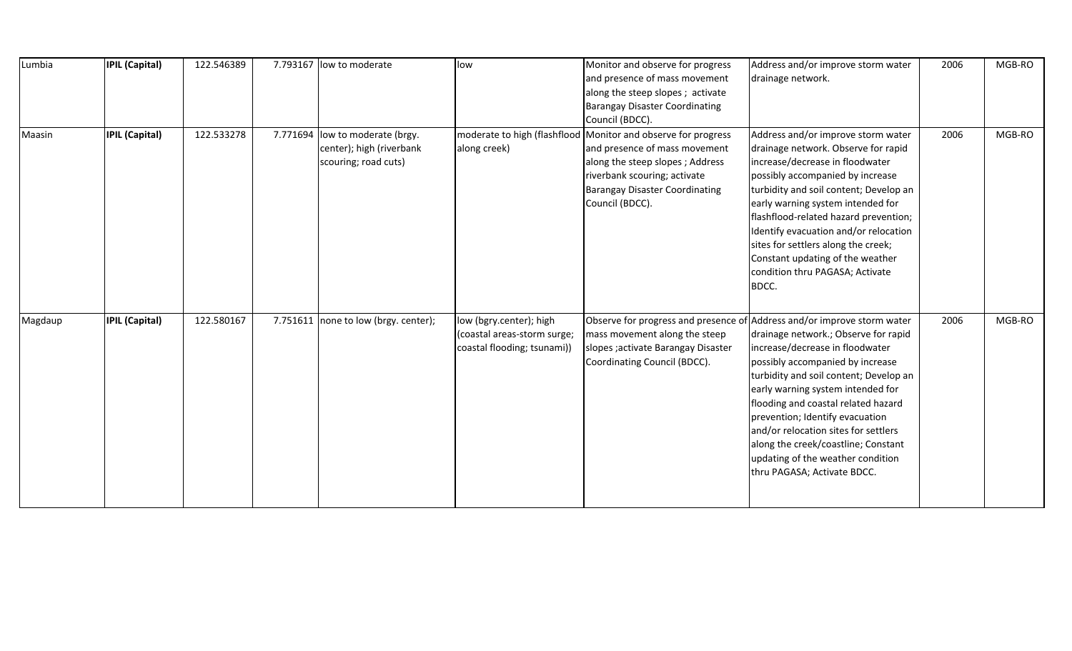| Lumbia  | <b>IPIL (Capital)</b> | 122.546389 |          | 7.793167 low to moderate                                                   | low                                                                                   | Monitor and observe for progress<br>and presence of mass movement<br>along the steep slopes; activate<br><b>Barangay Disaster Coordinating</b><br>Council (BDCC).                                                             | Address and/or improve storm water<br>drainage network.                                                                                                                                                                                                                                                                                                                                                                                  | 2006 | MGB-RO |
|---------|-----------------------|------------|----------|----------------------------------------------------------------------------|---------------------------------------------------------------------------------------|-------------------------------------------------------------------------------------------------------------------------------------------------------------------------------------------------------------------------------|------------------------------------------------------------------------------------------------------------------------------------------------------------------------------------------------------------------------------------------------------------------------------------------------------------------------------------------------------------------------------------------------------------------------------------------|------|--------|
| Maasin  | <b>IPIL (Capital)</b> | 122.533278 | 7.771694 | low to moderate (brgy.<br>center); high (riverbank<br>scouring; road cuts) | along creek)                                                                          | moderate to high (flashflood Monitor and observe for progress<br>and presence of mass movement<br>along the steep slopes; Address<br>riverbank scouring; activate<br><b>Barangay Disaster Coordinating</b><br>Council (BDCC). | Address and/or improve storm water<br>drainage network. Observe for rapid<br>increase/decrease in floodwater<br>possibly accompanied by increase<br>turbidity and soil content; Develop an<br>early warning system intended for<br>flashflood-related hazard prevention;<br>Identify evacuation and/or relocation<br>sites for settlers along the creek;<br>Constant updating of the weather<br>condition thru PAGASA; Activate<br>BDCC. | 2006 | MGB-RO |
| Magdaup | <b>IPIL (Capital)</b> | 122.580167 |          | 7.751611 none to low (brgy. center);                                       | low (bgry.center); high<br>(coastal areas-storm surge;<br>coastal flooding; tsunami)) | Observe for progress and presence of Address and/or improve storm water<br>mass movement along the steep<br>slopes ; activate Barangay Disaster<br>Coordinating Council (BDCC).                                               | drainage network.; Observe for rapid<br>increase/decrease in floodwater<br>possibly accompanied by increase<br>turbidity and soil content; Develop an<br>early warning system intended for<br>flooding and coastal related hazard<br>prevention; Identify evacuation<br>and/or relocation sites for settlers<br>along the creek/coastline; Constant<br>updating of the weather condition<br>thru PAGASA; Activate BDCC.                  | 2006 | MGB-RO |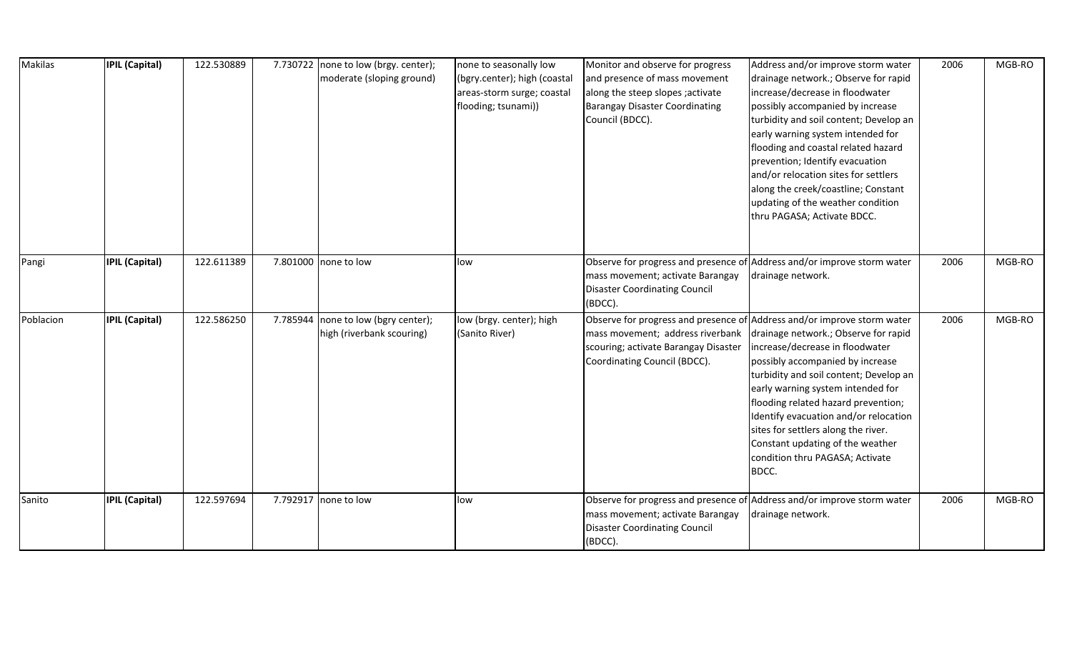| Makilas   | <b>IPIL (Capital)</b> | 122.530889 | 7.730722 none to low (brgy. center); | none to seasonally low       | Monitor and observe for progress      | Address and/or improve storm water                                      | 2006 | MGB-RO |
|-----------|-----------------------|------------|--------------------------------------|------------------------------|---------------------------------------|-------------------------------------------------------------------------|------|--------|
|           |                       |            | moderate (sloping ground)            | (bgry.center); high (coastal | and presence of mass movement         | drainage network.; Observe for rapid                                    |      |        |
|           |                       |            |                                      | areas-storm surge; coastal   | along the steep slopes ; activate     | increase/decrease in floodwater                                         |      |        |
|           |                       |            |                                      | flooding; tsunami))          | <b>Barangay Disaster Coordinating</b> | possibly accompanied by increase                                        |      |        |
|           |                       |            |                                      |                              | Council (BDCC).                       | turbidity and soil content; Develop an                                  |      |        |
|           |                       |            |                                      |                              |                                       | early warning system intended for                                       |      |        |
|           |                       |            |                                      |                              |                                       | flooding and coastal related hazard                                     |      |        |
|           |                       |            |                                      |                              |                                       | prevention; Identify evacuation                                         |      |        |
|           |                       |            |                                      |                              |                                       | and/or relocation sites for settlers                                    |      |        |
|           |                       |            |                                      |                              |                                       | along the creek/coastline; Constant                                     |      |        |
|           |                       |            |                                      |                              |                                       | updating of the weather condition                                       |      |        |
|           |                       |            |                                      |                              |                                       | thru PAGASA; Activate BDCC.                                             |      |        |
|           |                       |            |                                      |                              |                                       |                                                                         |      |        |
| Pangi     | <b>IPIL (Capital)</b> | 122.611389 | 7.801000 none to low                 | low                          | Observe for progress and presence of  | Address and/or improve storm water                                      | 2006 | MGB-RO |
|           |                       |            |                                      |                              | mass movement; activate Barangay      | drainage network.                                                       |      |        |
|           |                       |            |                                      |                              | <b>Disaster Coordinating Council</b>  |                                                                         |      |        |
|           |                       |            |                                      |                              | (BDCC).                               |                                                                         |      |        |
| Poblacion | <b>IPIL (Capital)</b> | 122.586250 | 7.785944 none to low (bgry center);  | low (brgy. center); high     |                                       | Observe for progress and presence of Address and/or improve storm water | 2006 | MGB-RO |
|           |                       |            | high (riverbank scouring)            | (Sanito River)               | mass movement; address riverbank      | drainage network.; Observe for rapid                                    |      |        |
|           |                       |            |                                      |                              | scouring; activate Barangay Disaster  | increase/decrease in floodwater                                         |      |        |
|           |                       |            |                                      |                              | Coordinating Council (BDCC).          | possibly accompanied by increase                                        |      |        |
|           |                       |            |                                      |                              |                                       | turbidity and soil content; Develop an                                  |      |        |
|           |                       |            |                                      |                              |                                       | early warning system intended for                                       |      |        |
|           |                       |            |                                      |                              |                                       | flooding related hazard prevention;                                     |      |        |
|           |                       |            |                                      |                              |                                       | Identify evacuation and/or relocation                                   |      |        |
|           |                       |            |                                      |                              |                                       | sites for settlers along the river.                                     |      |        |
|           |                       |            |                                      |                              |                                       | Constant updating of the weather                                        |      |        |
|           |                       |            |                                      |                              |                                       | condition thru PAGASA; Activate                                         |      |        |
|           |                       |            |                                      |                              |                                       | BDCC.                                                                   |      |        |
| Sanito    | <b>IPIL (Capital)</b> | 122.597694 | 7.792917 none to low                 | low                          |                                       | Observe for progress and presence of Address and/or improve storm water | 2006 | MGB-RO |
|           |                       |            |                                      |                              | mass movement; activate Barangay      | drainage network.                                                       |      |        |
|           |                       |            |                                      |                              | <b>Disaster Coordinating Council</b>  |                                                                         |      |        |
|           |                       |            |                                      |                              | (BDCC).                               |                                                                         |      |        |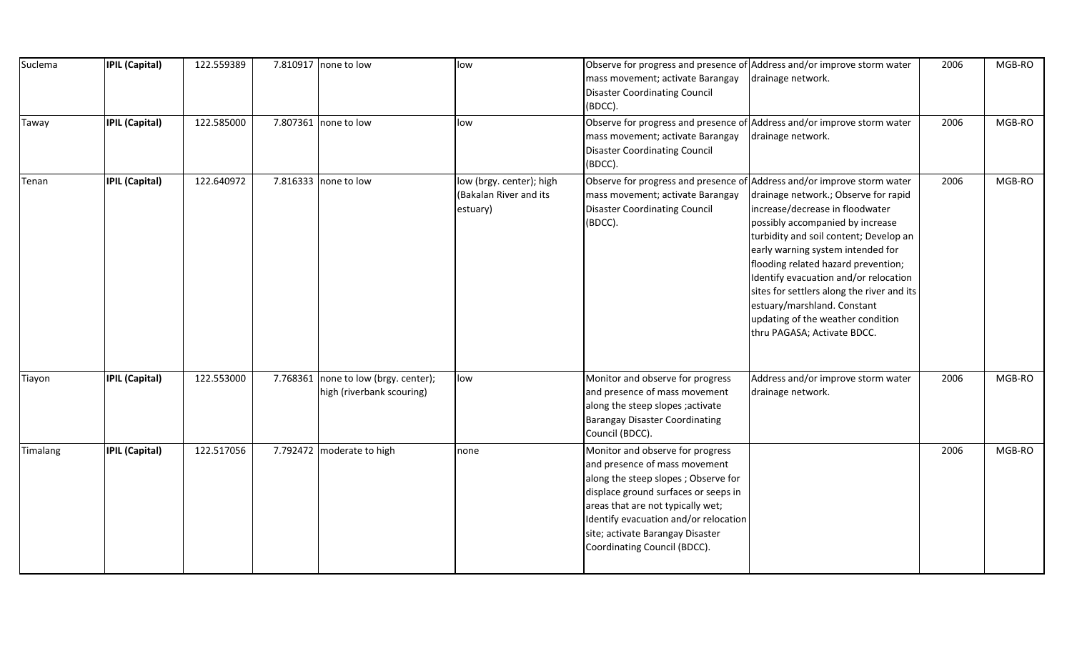| Suclema  | <b>IPIL (Capital)</b> | 122.559389 | 7.810917 none to low                                              | low                                                            | Observe for progress and presence of Address and/or improve storm water<br>mass movement; activate Barangay<br><b>Disaster Coordinating Council</b><br>(BDCC).                                                                                                                                     | drainage network.                                                                                                                                                                                                                                                                                                                                                                                                           | 2006 | MGB-RO |
|----------|-----------------------|------------|-------------------------------------------------------------------|----------------------------------------------------------------|----------------------------------------------------------------------------------------------------------------------------------------------------------------------------------------------------------------------------------------------------------------------------------------------------|-----------------------------------------------------------------------------------------------------------------------------------------------------------------------------------------------------------------------------------------------------------------------------------------------------------------------------------------------------------------------------------------------------------------------------|------|--------|
| Taway    | <b>IPIL (Capital)</b> | 122.585000 | 7.807361 none to low                                              | low                                                            | Observe for progress and presence of Address and/or improve storm water<br>mass movement; activate Barangay<br><b>Disaster Coordinating Council</b><br>(BDCC).                                                                                                                                     | drainage network.                                                                                                                                                                                                                                                                                                                                                                                                           | 2006 | MGB-RO |
| Tenan    | <b>IPIL (Capital)</b> | 122.640972 | 7.816333 none to low                                              | low (brgy. center); high<br>(Bakalan River and its<br>estuary) | Observe for progress and presence of Address and/or improve storm water<br>mass movement; activate Barangay<br><b>Disaster Coordinating Council</b><br>(BDCC).                                                                                                                                     | drainage network.; Observe for rapid<br>increase/decrease in floodwater<br>possibly accompanied by increase<br>turbidity and soil content; Develop an<br>early warning system intended for<br>flooding related hazard prevention;<br>Identify evacuation and/or relocation<br>sites for settlers along the river and its<br>estuary/marshland. Constant<br>updating of the weather condition<br>thru PAGASA; Activate BDCC. | 2006 | MGB-RO |
| Tiayon   | <b>IPIL (Capital)</b> | 122.553000 | 7.768361 none to low (brgy. center);<br>high (riverbank scouring) | low                                                            | Monitor and observe for progress<br>and presence of mass movement<br>along the steep slopes ; activate<br><b>Barangay Disaster Coordinating</b><br>Council (BDCC).                                                                                                                                 | Address and/or improve storm water<br>drainage network.                                                                                                                                                                                                                                                                                                                                                                     | 2006 | MGB-RO |
| Timalang | <b>IPIL (Capital)</b> | 122.517056 | 7.792472 moderate to high                                         | none                                                           | Monitor and observe for progress<br>and presence of mass movement<br>along the steep slopes; Observe for<br>displace ground surfaces or seeps in<br>areas that are not typically wet;<br>Identify evacuation and/or relocation<br>site; activate Barangay Disaster<br>Coordinating Council (BDCC). |                                                                                                                                                                                                                                                                                                                                                                                                                             | 2006 | MGB-RO |